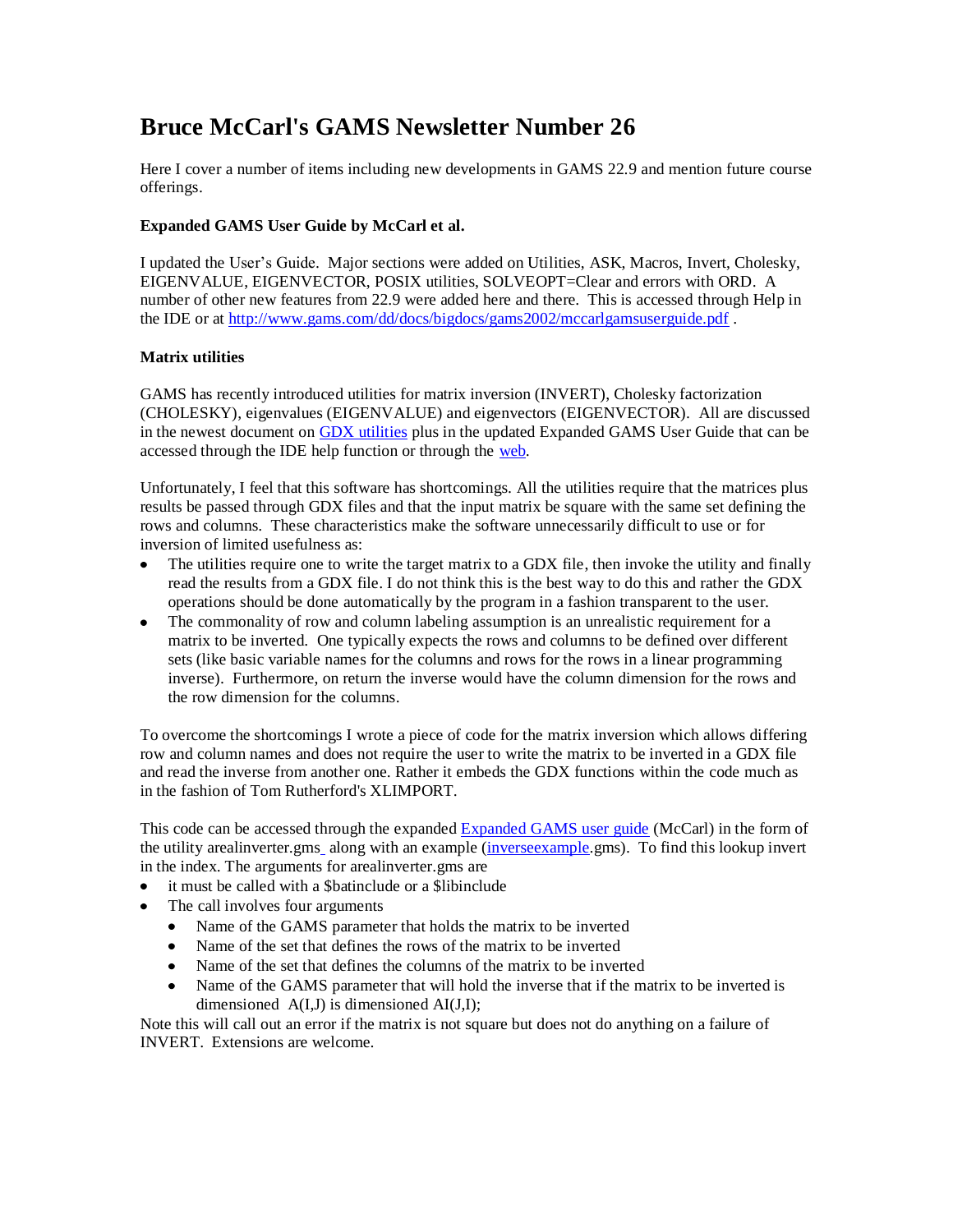# **Bruce McCarl's GAMS Newsletter Number 26**

Here I cover a number of items including new developments in GAMS 22.9 and mention future course offerings.

### **Expanded GAMS User Guide by McCarl et al.**

I updated the User's Guide. Major sections were added on Utilities, ASK, Macros, Invert, Cholesky, EIGENVALUE, EIGENVECTOR, POSIX utilities, SOLVEOPT=Clear and errors with ORD. A number of other new features from 22.9 were added here and there. This is accessed through Help in the IDE or at<http://www.gams.com/dd/docs/bigdocs/gams2002/mccarlgamsuserguide.pdf> .

### **Matrix utilities**

GAMS has recently introduced utilities for matrix inversion (INVERT), Cholesky factorization (CHOLESKY), eigenvalues (EIGENVALUE) and eigenvectors (EIGENVECTOR). All are discussed in the newest document on [GDX utilities](http://www.gams.com/dd/docs/tools/gdxutils.pdf) plus in the updated Expanded GAMS User Guide that can be accessed through the IDE help function or through the [web.](http://www.gams.com/dd/docs/bigdocs/gams2002/mccarlgamsuserguide.pdf)

Unfortunately, I feel that this software has shortcomings. All the utilities require that the matrices plus results be passed through GDX files and that the input matrix be square with the same set defining the rows and columns. These characteristics make the software unnecessarily difficult to use or for inversion of limited usefulness as:

- The utilities require one to write the target matrix to a GDX file, then invoke the utility and finally read the results from a GDX file. I do not think this is the best way to do this and rather the GDX operations should be done automatically by the program in a fashion transparent to the user.
- The commonality of row and column labeling assumption is an unrealistic requirement for a matrix to be inverted. One typically expects the rows and columns to be defined over different sets (like basic variable names for the columns and rows for the rows in a linear programming inverse). Furthermore, on return the inverse would have the column dimension for the rows and the row dimension for the columns.

To overcome the shortcomings I wrote a piece of code for the matrix inversion which allows differing row and column names and does not require the user to write the matrix to be inverted in a GDX file and read the inverse from another one. Rather it embeds the GDX functions within the code much as in the fashion of Tom Rutherford's XLIMPORT.

This code can be accessed through the expanded [Expanded GAMS user guide](http://www.gams.com/dd/docs/bigdocs/gams2002/mccarlgamsuserguide.pdf) (McCarl) in the form of the utility [arealinverter.gms](http://www.gams.com/mccarl/newsletter/arealinverter.gms)\_along with an example [\(inverseexample.](http://www.gams.com/mccarl/newsletter/inverseexample.gms)gms). To find this lookup invert in the index. The arguments for arealinverter.gms are

- it must be called with a \$batinclude or a \$libinclude
- The call involves four arguments
	- Name of the GAMS parameter that holds the matrix to be inverted  $\bullet$
	- Name of the set that defines the rows of the matrix to be inverted
	- Name of the set that defines the columns of the matrix to be inverted
	- $\bullet$ Name of the GAMS parameter that will hold the inverse that if the matrix to be inverted is dimensioned  $A(I,J)$  is dimensioned  $AI(J,I)$ ;

Note this will call out an error if the matrix is not square but does not do anything on a failure of INVERT. Extensions are welcome.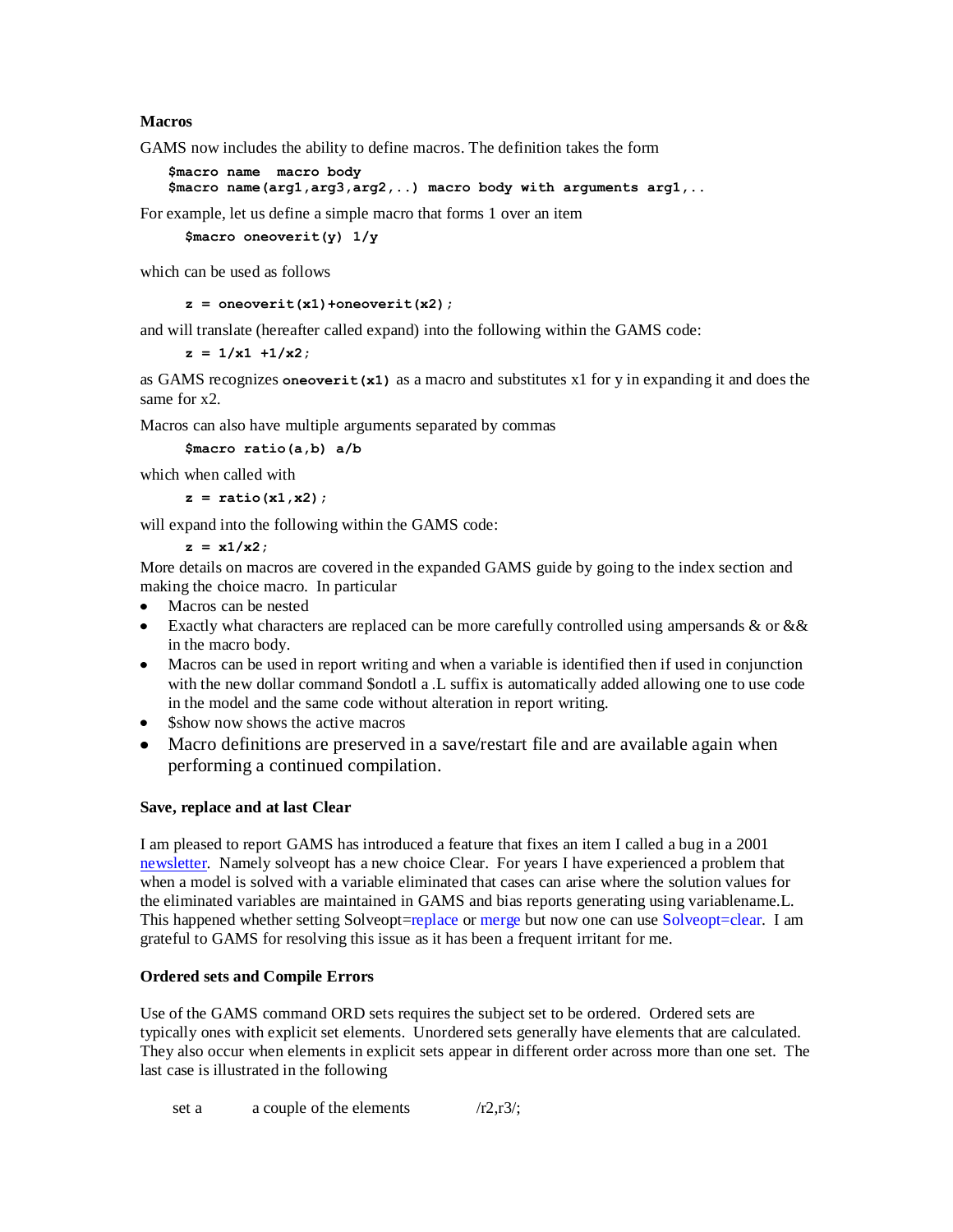### **Macros**

GAMS now includes the ability to define macros. The definition takes the form

```
$macro name macro body
$macro name(arg1,arg3,arg2,..) macro body with arguments arg1,..
```
For example, let us define a simple macro that forms 1 over an item

```
$macro oneoverit(y) 1/y
```
which can be used as follows

**z = oneoverit(x1)+oneoverit(x2);**

and will translate (hereafter called expand) into the following within the GAMS code:

**z = 1/x1 +1/x2;**

as GAMS recognizes **oneoverit(x1)** as a macro and substitutes x1 for y in expanding it and does the same for x2.

Macros can also have multiple arguments separated by commas

**\$macro ratio(a,b) a/b** 

which when called with

**z = ratio(x1,x2);**

will expand into the following within the GAMS code:

**z = x1/x2;**

More details on macros are covered in the expanded GAMS guide by going to the index section and making the choice macro. In particular

- Macros can be nested
- Exactly what characters are replaced can be more carefully controlled using ampersands & or &  $\&$ in the macro body.
- Macros can be used in report writing and when a variable is identified then if used in conjunction with the new dollar command \$ondotl a .L suffix is automatically added allowing one to use code in the model and the same code without alteration in report writing.
- Show now shows the active macros
- Macro definitions are preserved in a save/restart file and are available again when performing a continued compilation.

#### **Save, replace and at last Clear**

I am pleased to report GAMS has introduced a feature that fixes an item I called a bug in a 2001 [newsletter.](http://www.gams.com/mccarl/newsletter/news4.htm) Namely solveopt has a new choice Clear. For years I have experienced a problem that when a model is solved with a variable eliminated that cases can arise where the solution values for the eliminated variables are maintained in GAMS and bias reports generating using variablename.L. This happened whether setting Solveopt=replace or merge but now one can use Solveopt=clear. I am grateful to GAMS for resolving this issue as it has been a frequent irritant for me.

#### **Ordered sets and Compile Errors**

Use of the GAMS command ORD sets requires the subject set to be ordered. Ordered sets are typically ones with explicit set elements. Unordered sets generally have elements that are calculated. They also occur when elements in explicit sets appear in different order across more than one set. The last case is illustrated in the following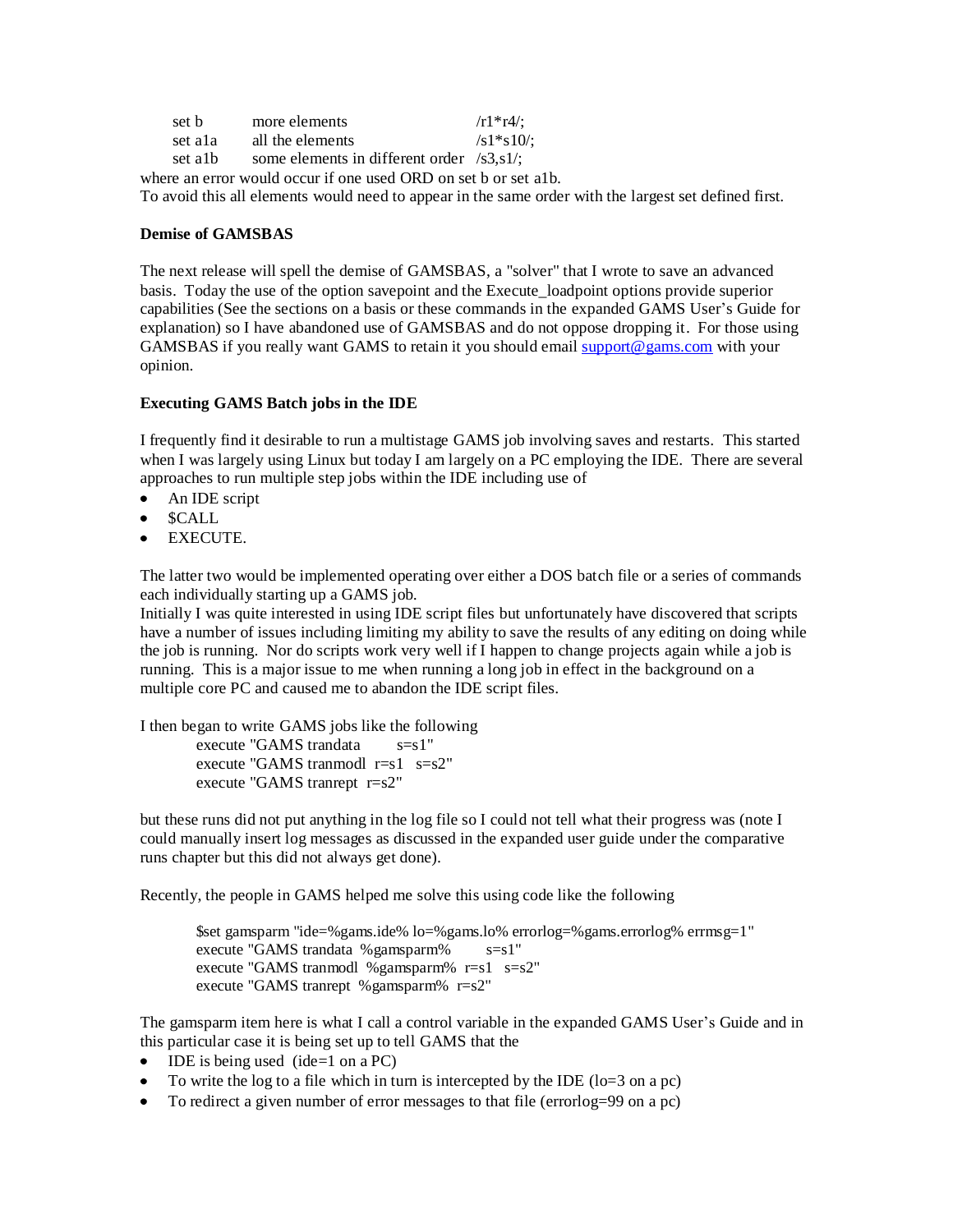| set b                                                           | more elements                                       | $/r1$ *r4/;          |
|-----------------------------------------------------------------|-----------------------------------------------------|----------------------|
| set ala                                                         | all the elements                                    | $\sqrt{s}1\$ {s}10/2 |
| set alb                                                         | some elements in different order $\frac{1}{3}$ .s1. |                      |
| where an error would occur if one used ORD on set b or set alb. |                                                     |                      |

To avoid this all elements would need to appear in the same order with the largest set defined first.

#### **Demise of GAMSBAS**

The next release will spell the demise of GAMSBAS, a "solver" that I wrote to save an advanced basis. Today the use of the option savepoint and the Execute\_loadpoint options provide superior capabilities (See the sections on a basis or these commands in the expanded GAMS User's Guide for explanation) so I have abandoned use of GAMSBAS and do not oppose dropping it. For those using GAMSBAS if you really want GAMS to retain it you should email [support@gams.com](mailto:support@gams.com) with your opinion.

#### **Executing GAMS Batch jobs in the IDE**

I frequently find it desirable to run a multistage GAMS job involving saves and restarts. This started when I was largely using Linux but today I am largely on a PC employing the IDE. There are several approaches to run multiple step jobs within the IDE including use of

- An IDE script
- \$CALL
- EXECUTE.

The latter two would be implemented operating over either a DOS batch file or a series of commands each individually starting up a GAMS job.

Initially I was quite interested in using IDE script files but unfortunately have discovered that scripts have a number of issues including limiting my ability to save the results of any editing on doing while the job is running. Nor do scripts work very well if I happen to change projects again while a job is running. This is a major issue to me when running a long job in effect in the background on a multiple core PC and caused me to abandon the IDE script files.

I then began to write GAMS jobs like the following

execute "GAMS trandata s=s1" execute "GAMS tranmodl  $r=s1$   $s=s2$ " execute "GAMS tranrept r=s2"

but these runs did not put anything in the log file so I could not tell what their progress was (note I could manually insert log messages as discussed in the expanded user guide under the comparative runs chapter but this did not always get done).

Recently, the people in GAMS helped me solve this using code like the following

\$set gamsparm "ide=%gams.ide% lo=%gams.lo% errorlog=%gams.errorlog% errmsg=1" execute "GAMS trandata % gamsparm%  $s=s1$ " execute "GAMS tranmodl %gamsparm%  $r=s1$  s=s2" execute "GAMS tranrept %gamsparm% r=s2"

The gamsparm item here is what I call a control variable in the expanded GAMS User's Guide and in this particular case it is being set up to tell GAMS that the

- $\bullet$  IDE is being used (ide=1 on a PC)
- To write the log to a file which in turn is intercepted by the IDE ( $10=3$  on a pc)
- To redirect a given number of error messages to that file (errorlog=99 on a pc)